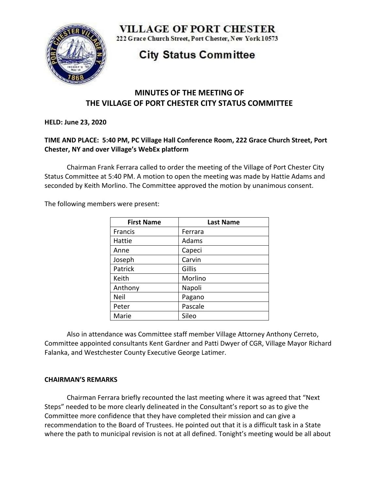

**VILLAGE OF PORT CHESTER** 

222 Grace Church Street, Port Chester, New York 10573

# **City Status Committee**

## **MINUTES OF THE MEETING OF THE VILLAGE OF PORT CHESTER CITY STATUS COMMITTEE**

**HELD: June 23, 2020**

#### **TIME AND PLACE: 5:40 PM, PC Village Hall Conference Room, 222 Grace Church Street, Port Chester, NY and over Village's WebEx platform**

Chairman Frank Ferrara called to order the meeting of the Village of Port Chester City Status Committee at 5:40 PM. A motion to open the meeting was made by Hattie Adams and seconded by Keith Morlino. The Committee approved the motion by unanimous consent.

The following members were present:

| <b>First Name</b> | <b>Last Name</b> |
|-------------------|------------------|
| Francis           | Ferrara          |
| Hattie            | Adams            |
| Anne              | Capeci           |
| Joseph            | Carvin           |
| Patrick           | Gillis           |
| Keith             | Morlino          |
| Anthony           | Napoli           |
| Neil              | Pagano           |
| Peter             | Pascale          |
| Marie             | Sileo            |

Also in attendance was Committee staff member Village Attorney Anthony Cerreto, Committee appointed consultants Kent Gardner and Patti Dwyer of CGR, Village Mayor Richard Falanka, and Westchester County Executive George Latimer.

#### **CHAIRMAN'S REMARKS**

Chairman Ferrara briefly recounted the last meeting where it was agreed that "Next Steps" needed to be more clearly delineated in the Consultant's report so as to give the Committee more confidence that they have completed their mission and can give a recommendation to the Board of Trustees. He pointed out that it is a difficult task in a State where the path to municipal revision is not at all defined. Tonight's meeting would be all about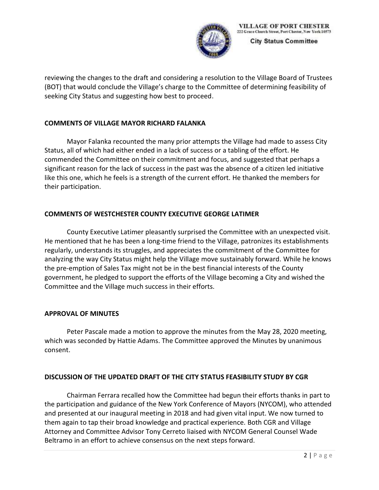

**City Status Committee** 

reviewing the changes to the draft and considering a resolution to the Village Board of Trustees (BOT) that would conclude the Village's charge to the Committee of determining feasibility of seeking City Status and suggesting how best to proceed.

#### **COMMENTS OF VILLAGE MAYOR RICHARD FALANKA**

Mayor Falanka recounted the many prior attempts the Village had made to assess City Status, all of which had either ended in a lack of success or a tabling of the effort. He commended the Committee on their commitment and focus, and suggested that perhaps a significant reason for the lack of success in the past was the absence of a citizen led initiative like this one, which he feels is a strength of the current effort. He thanked the members for their participation.

## **COMMENTS OF WESTCHESTER COUNTY EXECUTIVE GEORGE LATIMER**

County Executive Latimer pleasantly surprised the Committee with an unexpected visit. He mentioned that he has been a long-time friend to the Village, patronizes its establishments regularly, understands its struggles, and appreciates the commitment of the Committee for analyzing the way City Status might help the Village move sustainably forward. While he knows the pre-emption of Sales Tax might not be in the best financial interests of the County government, he pledged to support the efforts of the Village becoming a City and wished the Committee and the Village much success in their efforts.

#### **APPROVAL OF MINUTES**

Peter Pascale made a motion to approve the minutes from the May 28, 2020 meeting, which was seconded by Hattie Adams. The Committee approved the Minutes by unanimous consent.

#### **DISCUSSION OF THE UPDATED DRAFT OF THE CITY STATUS FEASIBILITY STUDY BY CGR**

Chairman Ferrara recalled how the Committee had begun their efforts thanks in part to the participation and guidance of the New York Conference of Mayors (NYCOM), who attended and presented at our inaugural meeting in 2018 and had given vital input. We now turned to them again to tap their broad knowledge and practical experience. Both CGR and Village Attorney and Committee Advisor Tony Cerreto liaised with NYCOM General Counsel Wade Beltramo in an effort to achieve consensus on the next steps forward.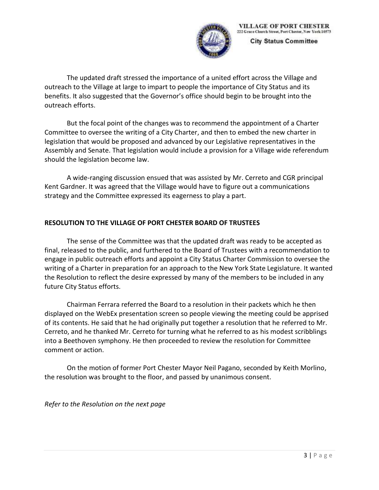

**City Status Committee** 

The updated draft stressed the importance of a united effort across the Village and outreach to the Village at large to impart to people the importance of City Status and its benefits. It also suggested that the Governor's office should begin to be brought into the outreach efforts.

But the focal point of the changes was to recommend the appointment of a Charter Committee to oversee the writing of a City Charter, and then to embed the new charter in legislation that would be proposed and advanced by our Legislative representatives in the Assembly and Senate. That legislation would include a provision for a Village wide referendum should the legislation become law.

A wide-ranging discussion ensued that was assisted by Mr. Cerreto and CGR principal Kent Gardner. It was agreed that the Village would have to figure out a communications strategy and the Committee expressed its eagerness to play a part.

## **RESOLUTION TO THE VILLAGE OF PORT CHESTER BOARD OF TRUSTEES**

The sense of the Committee was that the updated draft was ready to be accepted as final, released to the public, and furthered to the Board of Trustees with a recommendation to engage in public outreach efforts and appoint a City Status Charter Commission to oversee the writing of a Charter in preparation for an approach to the New York State Legislature. It wanted the Resolution to reflect the desire expressed by many of the members to be included in any future City Status efforts.

Chairman Ferrara referred the Board to a resolution in their packets which he then displayed on the WebEx presentation screen so people viewing the meeting could be apprised of its contents. He said that he had originally put together a resolution that he referred to Mr. Cerreto, and he thanked Mr. Cerreto for turning what he referred to as his modest scribblings into a Beethoven symphony. He then proceeded to review the resolution for Committee comment or action.

On the motion of former Port Chester Mayor Neil Pagano, seconded by Keith Morlino, the resolution was brought to the floor, and passed by unanimous consent.

*Refer to the Resolution on the next page*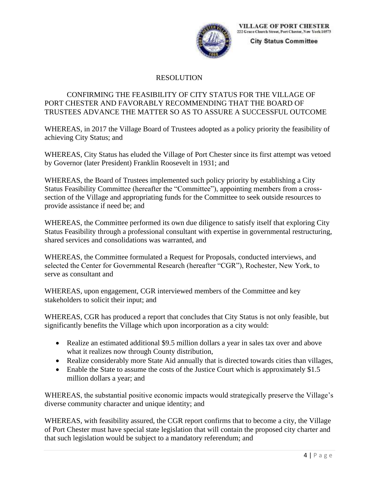

**City Status Committee** 

## RESOLUTION

#### CONFIRMING THE FEASIBILITY OF CITY STATUS FOR THE VILLAGE OF PORT CHESTER AND FAVORABLY RECOMMENDING THAT THE BOARD OF TRUSTEES ADVANCE THE MATTER SO AS TO ASSURE A SUCCESSFUL OUTCOME

WHEREAS, in 2017 the Village Board of Trustees adopted as a policy priority the feasibility of achieving City Status; and

WHEREAS, City Status has eluded the Village of Port Chester since its first attempt was vetoed by Governor (later President) Franklin Roosevelt in 1931; and

WHEREAS, the Board of Trustees implemented such policy priority by establishing a City Status Feasibility Committee (hereafter the "Committee"), appointing members from a crosssection of the Village and appropriating funds for the Committee to seek outside resources to provide assistance if need be; and

WHEREAS, the Committee performed its own due diligence to satisfy itself that exploring City Status Feasibility through a professional consultant with expertise in governmental restructuring, shared services and consolidations was warranted, and

WHEREAS, the Committee formulated a Request for Proposals, conducted interviews, and selected the Center for Governmental Research (hereafter "CGR"), Rochester, New York, to serve as consultant and

WHEREAS, upon engagement, CGR interviewed members of the Committee and key stakeholders to solicit their input; and

WHEREAS, CGR has produced a report that concludes that City Status is not only feasible, but significantly benefits the Village which upon incorporation as a city would:

- Realize an estimated additional \$9.5 million dollars a year in sales tax over and above what it realizes now through County distribution,
- Realize considerably more State Aid annually that is directed towards cities than villages,
- Enable the State to assume the costs of the Justice Court which is approximately \$1.5 million dollars a year; and

WHEREAS, the substantial positive economic impacts would strategically preserve the Village's diverse community character and unique identity; and

WHEREAS, with feasibility assured, the CGR report confirms that to become a city, the Village of Port Chester must have special state legislation that will contain the proposed city charter and that such legislation would be subject to a mandatory referendum; and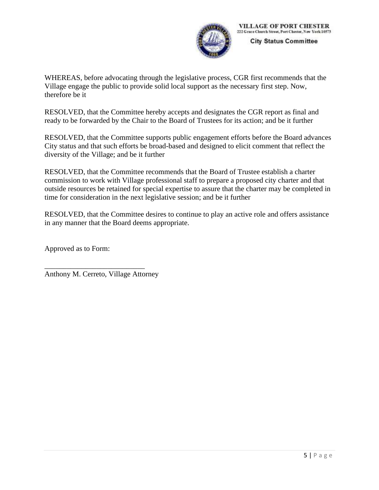

**City Status Committee** 

WHEREAS, before advocating through the legislative process, CGR first recommends that the Village engage the public to provide solid local support as the necessary first step. Now, therefore be it

RESOLVED, that the Committee hereby accepts and designates the CGR report as final and ready to be forwarded by the Chair to the Board of Trustees for its action; and be it further

RESOLVED, that the Committee supports public engagement efforts before the Board advances City status and that such efforts be broad-based and designed to elicit comment that reflect the diversity of the Village; and be it further

RESOLVED, that the Committee recommends that the Board of Trustee establish a charter commission to work with Village professional staff to prepare a proposed city charter and that outside resources be retained for special expertise to assure that the charter may be completed in time for consideration in the next legislative session; and be it further

RESOLVED, that the Committee desires to continue to play an active role and offers assistance in any manner that the Board deems appropriate.

Approved as to Form:

Anthony M. Cerreto, Village Attorney

\_\_\_\_\_\_\_\_\_\_\_\_\_\_\_\_\_\_\_\_\_\_\_\_\_\_\_